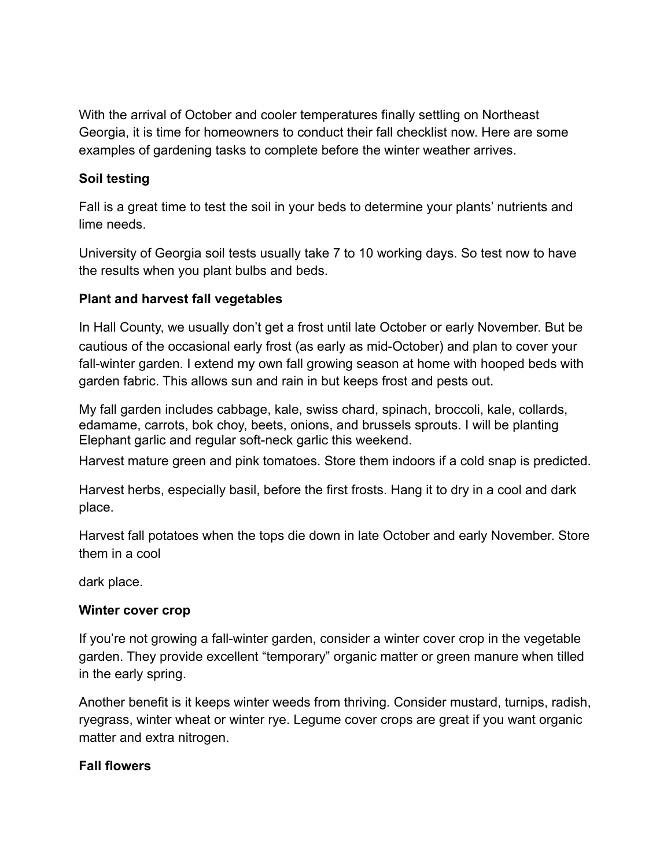With the arrival of October and cooler temperatures finally settling on Northeast Georgia, it is time for homeowners to conduct their fall checklist now. Here are some examples of gardening tasks to complete before the winter weather arrives.

### **Soil testing**

Fall is a great time to test the soil in your beds to determine your plants' nutrients and lime needs.

University of Georgia soil tests usually take 7 to 10 working days. So test now to have the results when you plant bulbs and beds.

# **Plant and harvest fall vegetables**

In Hall County, we usually don't get a frost until late October or early November. But be cautious of the occasional early frost (as early as mid-October) and plan to cover your fall-winter garden. I extend my own fall growing season at home with hooped beds with garden fabric. This allows sun and rain in but keeps frost and pests out.

My fall garden includes cabbage, kale, swiss chard, spinach, broccoli, kale, collards, edamame, carrots, bok choy, beets, onions, and brussels sprouts. I will be planting Elephant garlic and regular soft-neck garlic this weekend.

Harvest mature green and pink tomatoes. Store them indoors if a cold snap is predicted.

Harvest herbs, especially basil, before the first frosts. Hang it to dry in a cool and dark place.

Harvest fall potatoes when the tops die down in late October and early November. Store them in a cool

dark place.

### **Winter cover crop**

If you're not growing a fall-winter garden, consider a winter cover crop in the vegetable garden. They provide excellent "temporary" organic matter or green manure when tilled in the early spring.

Another benefit is it keeps winter weeds from thriving. Consider mustard, turnips, radish, ryegrass, winter wheat or winter rye. Legume cover crops are great if you want organic matter and extra nitrogen.

### **Fall flowers**